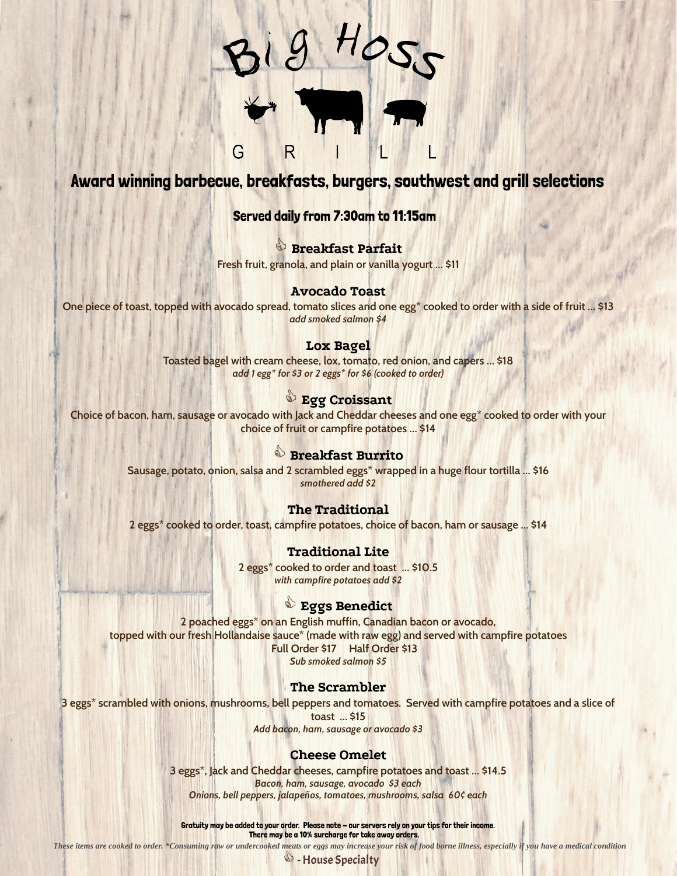

# Award winning barbecue, breakfasts, burgers, southwest and grill selections

## Served daily from 7:30am to 11:15am

j **Breakfast Parfait Fresh fruit, granola, and plain or vanilla yogurt … \$11**

### **Avocado Toast**

**One piece of toast, topped with avocado spread, tomato slices and one egg\* cooked to order with a side of fruit … \$13** *add smoked salmon \$4*

#### **Lox Bagel**

**Toasted bagel with cream cheese, lox, tomato, red onion, and capers … \$18** *add 1 egg\* for \$3 or 2 eggs\* for \$6 (cooked to order)*

## **Egg Croissant**

**Choice of bacon, ham, sausage or avocado with Jack and Cheddar cheeses and one egg\* cooked to order with your choice of fruit or campfire potatoes … \$14**

## **&** Breakfast Burrito

**Sausage, potato, onion, salsa and 2 scrambled eggs\* wrapped in a huge flour tortilla … \$16** *smothered add \$2*

### **The Traditional**

**2 eggs\* cooked to order, toast, campfire potatoes, choice of bacon, ham or sausage … \$14**

### **Traditional Lite**

**2 eggs\* cooked to order and toast … \$10.5** *with campfire potatoes add \$2*

### **Eggs Benedict**

**2 poached eggs\* on an English muffin, Canadian bacon or avocado, topped with our fresh Hollandaise sauce\* (made with raw egg) and served with campfire potatoes Full Order \$17 Half Order \$13** *Sub smoked salmon \$5*

### **The Scrambler**

**3 eggs\* scrambled with onions, mushrooms, bell peppers and tomatoes. Served with campfire potatoes and a slice of toast … \$15**

*Add bacon, ham, sausage or avocado \$3*

## **Cheese Omelet**

**3 eggs\*, Jack and Cheddar cheeses, campfire potatoes and toast … \$14.5** *Bacon, ham, sausage, avocado \$3 each Onions, bell peppers, jalapeños, tomatoes, mushrooms, salsa 60¢ each*

Gratuity may be added to your order. Please note - our servers rely on your tips for their income. There may be a 10% surcharge for take away orders.

*These items are cooked to order. \*Consuming raw or undercooked meats or eggs may increase your risk of food borne illness, especially if you have a medical condition*

<sup>§</sup> - House Specialty